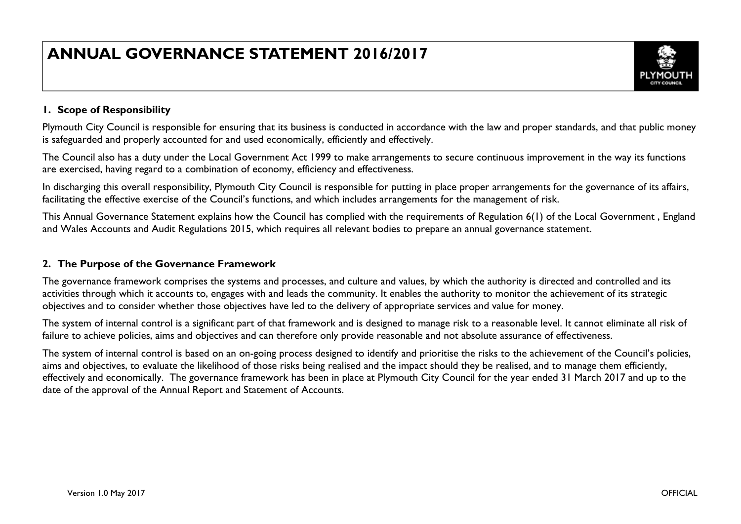# **ANNUAL GOVERNANCE STATEMENT 2016/2017**



# **1. Scope of Responsibility**

Plymouth City Council is responsible for ensuring that its business is conducted in accordance with the law and proper standards, and that public money is safeguarded and properly accounted for and used economically, efficiently and effectively.

The Council also has a duty under the Local Government Act 1999 to make arrangements to secure continuous improvement in the way its functions are exercised, having regard to a combination of economy, efficiency and effectiveness.

In discharging this overall responsibility, Plymouth City Council is responsible for putting in place proper arrangements for the governance of its affairs, facilitating the effective exercise of the Council's functions, and which includes arrangements for the management of risk.

This Annual Governance Statement explains how the Council has complied with the requirements of Regulation 6(1) of the Local Government , England and Wales Accounts and Audit Regulations 2015, which requires all relevant bodies to prepare an annual governance statement.

# **2. The Purpose of the Governance Framework**

The governance framework comprises the systems and processes, and culture and values, by which the authority is directed and controlled and its activities through which it accounts to, engages with and leads the community. It enables the authority to monitor the achievement of its strategic objectives and to consider whether those objectives have led to the delivery of appropriate services and value for money.

The system of internal control is a significant part of that framework and is designed to manage risk to a reasonable level. It cannot eliminate all risk of failure to achieve policies, aims and objectives and can therefore only provide reasonable and not absolute assurance of effectiveness.

The system of internal control is based on an on-going process designed to identify and prioritise the risks to the achievement of the Council's policies, aims and objectives, to evaluate the likelihood of those risks being realised and the impact should they be realised, and to manage them efficiently, effectively and economically. The governance framework has been in place at Plymouth City Council for the year ended 31 March 2017 and up to the date of the approval of the Annual Report and Statement of Accounts.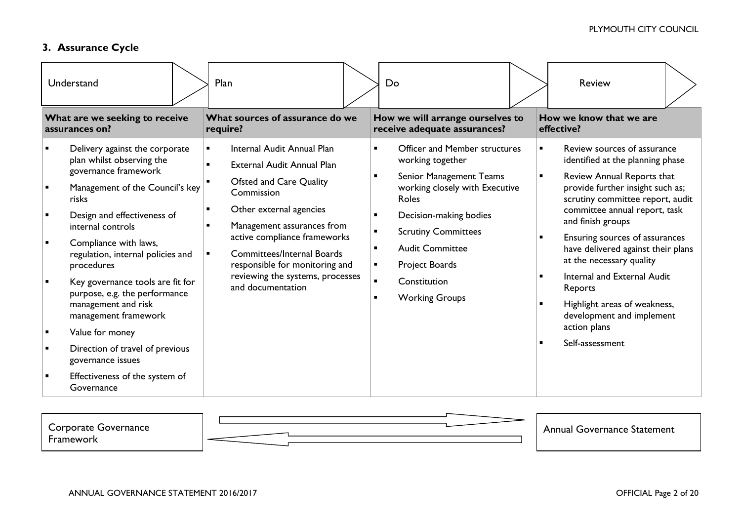# **3. Assurance Cycle**

| Understand                                                                                                                                                                                                                                                                                                                                                                                                                                                                                                     | Plan                                                                                                                                                                                                                                                                                                                              | Do                                                                                                                                                                                                                                                                                                                                                                    | <b>Review</b>                                                                                                                                                                                                                                                                                                                                                                                                                                                                                                 |
|----------------------------------------------------------------------------------------------------------------------------------------------------------------------------------------------------------------------------------------------------------------------------------------------------------------------------------------------------------------------------------------------------------------------------------------------------------------------------------------------------------------|-----------------------------------------------------------------------------------------------------------------------------------------------------------------------------------------------------------------------------------------------------------------------------------------------------------------------------------|-----------------------------------------------------------------------------------------------------------------------------------------------------------------------------------------------------------------------------------------------------------------------------------------------------------------------------------------------------------------------|---------------------------------------------------------------------------------------------------------------------------------------------------------------------------------------------------------------------------------------------------------------------------------------------------------------------------------------------------------------------------------------------------------------------------------------------------------------------------------------------------------------|
| What are we seeking to receive<br>assurances on?                                                                                                                                                                                                                                                                                                                                                                                                                                                               | What sources of assurance do we<br>require?                                                                                                                                                                                                                                                                                       | How we will arrange ourselves to<br>receive adequate assurances?                                                                                                                                                                                                                                                                                                      | How we know that we are<br>effective?                                                                                                                                                                                                                                                                                                                                                                                                                                                                         |
| Delivery against the corporate<br>plan whilst observing the<br>governance framework<br>Management of the Council's key<br>risks<br>Design and effectiveness of<br>internal controls<br>Compliance with laws,<br>regulation, internal policies and<br>procedures<br>Key governance tools are fit for<br>purpose, e.g. the performance<br>management and risk<br>management framework<br>Value for money<br>Direction of travel of previous<br>governance issues<br>Effectiveness of the system of<br>Governance | Internal Audit Annual Plan<br><b>External Audit Annual Plan</b><br>Ofsted and Care Quality<br>Commission<br>Other external agencies<br>Management assurances from<br>active compliance frameworks<br><b>Committees/Internal Boards</b><br>responsible for monitoring and<br>reviewing the systems, processes<br>and documentation | <b>Officer and Member structures</b><br>working together<br>Senior Management Teams<br>$\blacksquare$<br>working closely with Executive<br>Roles<br>Decision-making bodies<br><b>Scrutiny Committees</b><br><b>Audit Committee</b><br>$\blacksquare$<br>Project Boards<br>$\blacksquare$<br>$\blacksquare$<br>Constitution<br><b>Working Groups</b><br>$\blacksquare$ | Review sources of assurance<br>$\blacksquare$<br>identified at the planning phase<br>Review Annual Reports that<br>$\blacksquare$<br>provide further insight such as;<br>scrutiny committee report, audit<br>committee annual report, task<br>and finish groups<br>Ensuring sources of assurances<br>have delivered against their plans<br>at the necessary quality<br>Internal and External Audit<br>Reports<br>Highlight areas of weakness,<br>development and implement<br>action plans<br>Self-assessment |

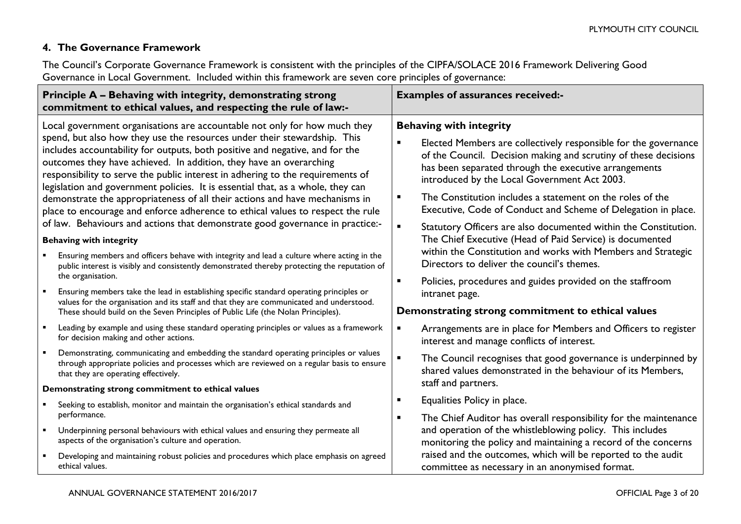# **4. The Governance Framework**

The Council's Corporate Governance Framework is consistent with the principles of the CIPFA/SOLACE 2016 Framework Delivering Good Governance in Local Government. Included within this framework are seven core principles of governance:

| Principle A - Behaving with integrity, demonstrating strong<br>commitment to ethical values, and respecting the rule of law:-                                                                                                                                                                                                                                                                       | <b>Examples of assurances received:-</b>                                                                                                                                                                                                                      |  |
|-----------------------------------------------------------------------------------------------------------------------------------------------------------------------------------------------------------------------------------------------------------------------------------------------------------------------------------------------------------------------------------------------------|---------------------------------------------------------------------------------------------------------------------------------------------------------------------------------------------------------------------------------------------------------------|--|
| Local government organisations are accountable not only for how much they                                                                                                                                                                                                                                                                                                                           | <b>Behaving with integrity</b>                                                                                                                                                                                                                                |  |
| spend, but also how they use the resources under their stewardship. This<br>includes accountability for outputs, both positive and negative, and for the<br>outcomes they have achieved. In addition, they have an overarching<br>responsibility to serve the public interest in adhering to the requirements of<br>legislation and government policies. It is essential that, as a whole, they can | $\blacksquare$<br>Elected Members are collectively responsible for the governance<br>of the Council. Decision making and scrutiny of these decisions<br>has been separated through the executive arrangements<br>introduced by the Local Government Act 2003. |  |
| demonstrate the appropriateness of all their actions and have mechanisms in<br>place to encourage and enforce adherence to ethical values to respect the rule                                                                                                                                                                                                                                       | The Constitution includes a statement on the roles of the<br>$\blacksquare$<br>Executive, Code of Conduct and Scheme of Delegation in place.                                                                                                                  |  |
| of law. Behaviours and actions that demonstrate good governance in practice:-<br><b>Behaving with integrity</b>                                                                                                                                                                                                                                                                                     | $\blacksquare$<br>Statutory Officers are also documented within the Constitution.<br>The Chief Executive (Head of Paid Service) is documented                                                                                                                 |  |
| Ensuring members and officers behave with integrity and lead a culture where acting in the<br>public interest is visibly and consistently demonstrated thereby protecting the reputation of                                                                                                                                                                                                         | within the Constitution and works with Members and Strategic<br>Directors to deliver the council's themes.                                                                                                                                                    |  |
| the organisation.<br>Ensuring members take the lead in establishing specific standard operating principles or<br>values for the organisation and its staff and that they are communicated and understood.                                                                                                                                                                                           | $\blacksquare$<br>Policies, procedures and guides provided on the staffroom<br>intranet page.                                                                                                                                                                 |  |
| These should build on the Seven Principles of Public Life (the Nolan Principles).                                                                                                                                                                                                                                                                                                                   | Demonstrating strong commitment to ethical values                                                                                                                                                                                                             |  |
| Leading by example and using these standard operating principles or values as a framework<br>for decision making and other actions.                                                                                                                                                                                                                                                                 | Arrangements are in place for Members and Officers to register<br>Ξ<br>interest and manage conflicts of interest.                                                                                                                                             |  |
| Demonstrating, communicating and embedding the standard operating principles or values<br>through appropriate policies and processes which are reviewed on a regular basis to ensure<br>that they are operating effectively.                                                                                                                                                                        | $\blacksquare$<br>The Council recognises that good governance is underpinned by<br>shared values demonstrated in the behaviour of its Members,                                                                                                                |  |
| Demonstrating strong commitment to ethical values                                                                                                                                                                                                                                                                                                                                                   | staff and partners.                                                                                                                                                                                                                                           |  |
| Seeking to establish, monitor and maintain the organisation's ethical standards and                                                                                                                                                                                                                                                                                                                 | Equalities Policy in place.                                                                                                                                                                                                                                   |  |
| performance.<br>Underpinning personal behaviours with ethical values and ensuring they permeate all<br>$\blacksquare$<br>aspects of the organisation's culture and operation.                                                                                                                                                                                                                       | The Chief Auditor has overall responsibility for the maintenance<br>٠<br>and operation of the whistleblowing policy. This includes<br>monitoring the policy and maintaining a record of the concerns                                                          |  |
| Developing and maintaining robust policies and procedures which place emphasis on agreed<br>$\blacksquare$<br>ethical values.                                                                                                                                                                                                                                                                       | raised and the outcomes, which will be reported to the audit<br>committee as necessary in an anonymised format.                                                                                                                                               |  |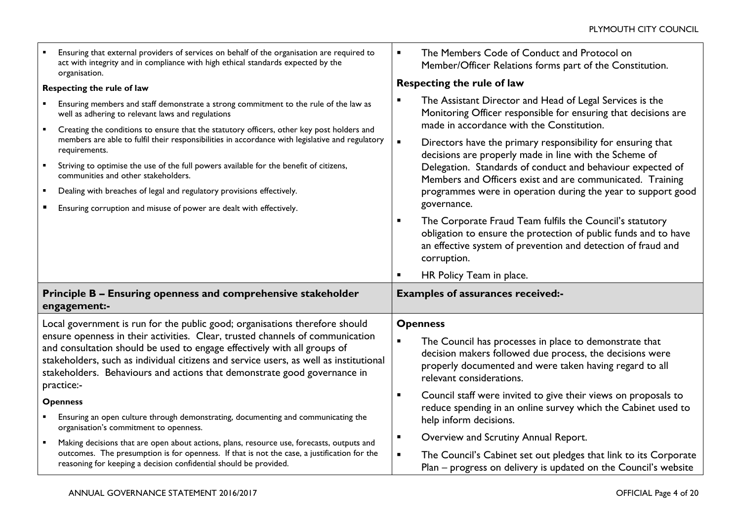| Ensuring that external providers of services on behalf of the organisation are required to<br>act with integrity and in compliance with high ethical standards expected by the<br>organisation.                                                                                                                                                                                                                     | The Members Code of Conduct and Protocol on<br>Member/Officer Relations forms part of the Constitution.                                                                                                                                                                                                                                                                                                                                                                                                                                                                                          |  |
|---------------------------------------------------------------------------------------------------------------------------------------------------------------------------------------------------------------------------------------------------------------------------------------------------------------------------------------------------------------------------------------------------------------------|--------------------------------------------------------------------------------------------------------------------------------------------------------------------------------------------------------------------------------------------------------------------------------------------------------------------------------------------------------------------------------------------------------------------------------------------------------------------------------------------------------------------------------------------------------------------------------------------------|--|
| Respecting the rule of law                                                                                                                                                                                                                                                                                                                                                                                          | Respecting the rule of law                                                                                                                                                                                                                                                                                                                                                                                                                                                                                                                                                                       |  |
| Ensuring members and staff demonstrate a strong commitment to the rule of the law as<br>well as adhering to relevant laws and regulations<br>Creating the conditions to ensure that the statutory officers, other key post holders and                                                                                                                                                                              | The Assistant Director and Head of Legal Services is the<br>Monitoring Officer responsible for ensuring that decisions are<br>made in accordance with the Constitution.                                                                                                                                                                                                                                                                                                                                                                                                                          |  |
| members are able to fulfil their responsibilities in accordance with legislative and regulatory<br>requirements.<br>Striving to optimise the use of the full powers available for the benefit of citizens,<br>communities and other stakeholders.<br>Dealing with breaches of legal and regulatory provisions effectively.<br>$\blacksquare$<br>Ensuring corruption and misuse of power are dealt with effectively. | $\blacksquare$<br>Directors have the primary responsibility for ensuring that<br>decisions are properly made in line with the Scheme of<br>Delegation. Standards of conduct and behaviour expected of<br>Members and Officers exist and are communicated. Training<br>programmes were in operation during the year to support good<br>governance.<br>The Corporate Fraud Team fulfils the Council's statutory<br>п<br>obligation to ensure the protection of public funds and to have<br>an effective system of prevention and detection of fraud and<br>corruption.<br>HR Policy Team in place. |  |
| Principle B - Ensuring openness and comprehensive stakeholder<br>engagement:-                                                                                                                                                                                                                                                                                                                                       | <b>Examples of assurances received:-</b>                                                                                                                                                                                                                                                                                                                                                                                                                                                                                                                                                         |  |
| Local government is run for the public good; organisations therefore should                                                                                                                                                                                                                                                                                                                                         | <b>Openness</b>                                                                                                                                                                                                                                                                                                                                                                                                                                                                                                                                                                                  |  |
| ensure openness in their activities. Clear, trusted channels of communication<br>and consultation should be used to engage effectively with all groups of<br>stakeholders, such as individual citizens and service users, as well as institutional<br>stakeholders. Behaviours and actions that demonstrate good governance in<br>practice:-                                                                        | $\blacksquare$<br>The Council has processes in place to demonstrate that<br>decision makers followed due process, the decisions were<br>properly documented and were taken having regard to all<br>relevant considerations.                                                                                                                                                                                                                                                                                                                                                                      |  |
| <b>Openness</b><br>Ensuring an open culture through demonstrating, documenting and communicating the                                                                                                                                                                                                                                                                                                                | Council staff were invited to give their views on proposals to<br>$\blacksquare$<br>reduce spending in an online survey which the Cabinet used to                                                                                                                                                                                                                                                                                                                                                                                                                                                |  |
| organisation's commitment to openness.                                                                                                                                                                                                                                                                                                                                                                              | help inform decisions.                                                                                                                                                                                                                                                                                                                                                                                                                                                                                                                                                                           |  |
| Making decisions that are open about actions, plans, resource use, forecasts, outputs and<br>$\blacksquare$                                                                                                                                                                                                                                                                                                         | Overview and Scrutiny Annual Report.<br>$\blacksquare$                                                                                                                                                                                                                                                                                                                                                                                                                                                                                                                                           |  |
| outcomes. The presumption is for openness. If that is not the case, a justification for the<br>reasoning for keeping a decision confidential should be provided.                                                                                                                                                                                                                                                    | The Council's Cabinet set out pledges that link to its Corporate<br>$\blacksquare$<br>Plan - progress on delivery is updated on the Council's website                                                                                                                                                                                                                                                                                                                                                                                                                                            |  |

┯

 $\mathbf{r}$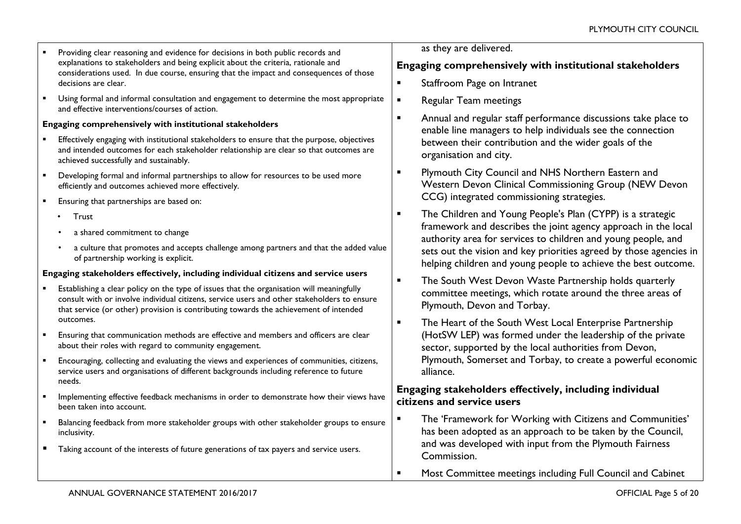- **Providing clear reasoning and evidence for decisions in both public records and** explanations to stakeholders and being explicit about the criteria, rationale and considerations used. In due course, ensuring that the impact and consequences of those decisions are clear.
- Using formal and informal consultation and engagement to determine the most appropriate and effective interventions/courses of action.

### **Engaging comprehensively with institutional stakeholders**

- Effectively engaging with institutional stakeholders to ensure that the purpose, objectives and intended outcomes for each stakeholder relationship are clear so that outcomes are achieved successfully and sustainably.
- Developing formal and informal partnerships to allow for resources to be used more efficiently and outcomes achieved more effectively.
- **Ensuring that partnerships are based on:** 
	- Trust
	- a shared commitment to change
	- a culture that promotes and accepts challenge among partners and that the added value of partnership working is explicit.

### **Engaging stakeholders effectively, including individual citizens and service users**

- Establishing a clear policy on the type of issues that the organisation will meaningfully consult with or involve individual citizens, service users and other stakeholders to ensure that service (or other) provision is contributing towards the achievement of intended outcomes.
- Ensuring that communication methods are effective and members and officers are clear about their roles with regard to community engagement.
- Encouraging, collecting and evaluating the views and experiences of communities, citizens, service users and organisations of different backgrounds including reference to future needs.
- Implementing effective feedback mechanisms in order to demonstrate how their views have been taken into account.
- **Balancing feedback from more stakeholder groups with other stakeholder groups to ensure** inclusivity.
- **Taking account of the interests of future generations of tax payers and service users.**

as they are delivered.

# **Engaging comprehensively with institutional stakeholders**

- **EXECUTE:** Staffroom Page on Intranet
- **Regular Team meetings**
- Annual and regular staff performance discussions take place to enable line managers to help individuals see the connection between their contribution and the wider goals of the organisation and city.
- **Plymouth City Council and NHS Northern Eastern and** Western Devon Clinical Commissioning Group (NEW Devon CCG) integrated commissioning strategies.
- **The Children and Young People's Plan (CYPP) is a strategic** framework and describes the joint agency approach in the local authority area for services to children and young people, and sets out the vision and key priorities agreed by those agencies in helping children and young people to achieve the best outcome.
- **The South West Devon Waste Partnership holds quarterly** committee meetings, which rotate around the three areas of Plymouth, Devon and Torbay.
- **The Heart of the South West Local Enterprise Partnership** (HotSW LEP) was formed under the leadership of the private sector, supported by the local authorities from Devon, Plymouth, Somerset and Torbay, to create a powerful economic alliance.

# **Engaging stakeholders effectively, including individual citizens and service users**

 The 'Framework for Working with Citizens and Communities' has been adopted as an approach to be taken by the Council, and was developed with input from the Plymouth Fairness Commission.

**EXECOMMITTEE MOST COMMITTEE MOST CONTRACT PROPERTY MOST COMMITTEE MOST CONTRACT PROPERTY MOST CONTRACT PROPERTY**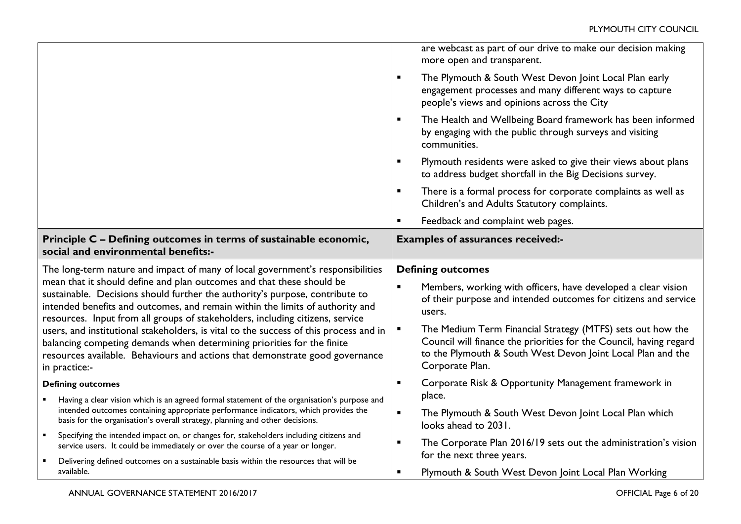|                                                                                                                                                                                                                                                                                                                                                   | are webcast as part of our drive to make our decision making<br>more open and transparent.                                                                                                                              |
|---------------------------------------------------------------------------------------------------------------------------------------------------------------------------------------------------------------------------------------------------------------------------------------------------------------------------------------------------|-------------------------------------------------------------------------------------------------------------------------------------------------------------------------------------------------------------------------|
|                                                                                                                                                                                                                                                                                                                                                   | The Plymouth & South West Devon Joint Local Plan early<br>$\blacksquare$<br>engagement processes and many different ways to capture<br>people's views and opinions across the City                                      |
|                                                                                                                                                                                                                                                                                                                                                   | $\blacksquare$<br>The Health and Wellbeing Board framework has been informed<br>by engaging with the public through surveys and visiting<br>communities.                                                                |
|                                                                                                                                                                                                                                                                                                                                                   | Plymouth residents were asked to give their views about plans<br>$\blacksquare$<br>to address budget shortfall in the Big Decisions survey.                                                                             |
|                                                                                                                                                                                                                                                                                                                                                   | There is a formal process for corporate complaints as well as<br>$\blacksquare$<br>Children's and Adults Statutory complaints.                                                                                          |
|                                                                                                                                                                                                                                                                                                                                                   | Feedback and complaint web pages.<br>$\blacksquare$                                                                                                                                                                     |
| Principle C - Defining outcomes in terms of sustainable economic,<br>social and environmental benefits:-                                                                                                                                                                                                                                          | <b>Examples of assurances received:-</b>                                                                                                                                                                                |
|                                                                                                                                                                                                                                                                                                                                                   |                                                                                                                                                                                                                         |
| The long-term nature and impact of many of local government's responsibilities                                                                                                                                                                                                                                                                    | <b>Defining outcomes</b>                                                                                                                                                                                                |
| mean that it should define and plan outcomes and that these should be<br>sustainable. Decisions should further the authority's purpose, contribute to<br>intended benefits and outcomes, and remain within the limits of authority and                                                                                                            | $\blacksquare$<br>Members, working with officers, have developed a clear vision<br>of their purpose and intended outcomes for citizens and service<br>users.                                                            |
| resources. Input from all groups of stakeholders, including citizens, service<br>users, and institutional stakeholders, is vital to the success of this process and in<br>balancing competing demands when determining priorities for the finite<br>resources available. Behaviours and actions that demonstrate good governance<br>in practice:- | The Medium Term Financial Strategy (MTFS) sets out how the<br>Ξ<br>Council will finance the priorities for the Council, having regard<br>to the Plymouth & South West Devon Joint Local Plan and the<br>Corporate Plan. |
| <b>Defining outcomes</b>                                                                                                                                                                                                                                                                                                                          | Corporate Risk & Opportunity Management framework in<br>$\blacksquare$                                                                                                                                                  |
| Having a clear vision which is an agreed formal statement of the organisation's purpose and                                                                                                                                                                                                                                                       | place.                                                                                                                                                                                                                  |
| intended outcomes containing appropriate performance indicators, which provides the<br>basis for the organisation's overall strategy, planning and other decisions.                                                                                                                                                                               | The Plymouth & South West Devon Joint Local Plan which<br>$\blacksquare$<br>looks ahead to 2031.                                                                                                                        |
| Specifying the intended impact on, or changes for, stakeholders including citizens and<br>service users. It could be immediately or over the course of a year or longer.<br>Delivering defined outcomes on a sustainable basis within the resources that will be                                                                                  | The Corporate Plan 2016/19 sets out the administration's vision<br>$\blacksquare$<br>for the next three years.                                                                                                          |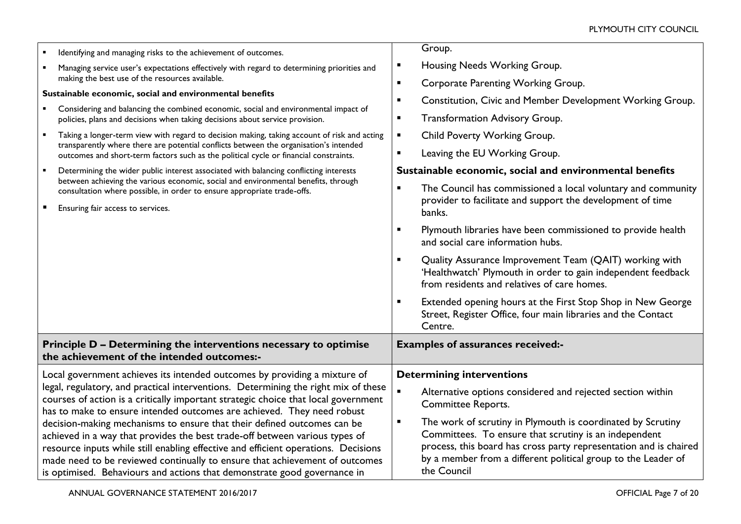| Identifying and managing risks to the achievement of outcomes.<br>Managing service user's expectations effectively with regard to determining priorities and<br>making the best use of the resources available.<br>Sustainable economic, social and environmental benefits                                                                                                                                                                                                                                                                                                                                                                                                                                                                                            | Group.<br>Housing Needs Working Group.<br>п<br>Corporate Parenting Working Group.<br>$\blacksquare$<br>Constitution, Civic and Member Development Working Group.<br>$\blacksquare$                                                                                                                                                                                                                                                                                                                                                                                                                                                                                                                                                                                                                                                                |
|-----------------------------------------------------------------------------------------------------------------------------------------------------------------------------------------------------------------------------------------------------------------------------------------------------------------------------------------------------------------------------------------------------------------------------------------------------------------------------------------------------------------------------------------------------------------------------------------------------------------------------------------------------------------------------------------------------------------------------------------------------------------------|---------------------------------------------------------------------------------------------------------------------------------------------------------------------------------------------------------------------------------------------------------------------------------------------------------------------------------------------------------------------------------------------------------------------------------------------------------------------------------------------------------------------------------------------------------------------------------------------------------------------------------------------------------------------------------------------------------------------------------------------------------------------------------------------------------------------------------------------------|
| Considering and balancing the combined economic, social and environmental impact of<br>policies, plans and decisions when taking decisions about service provision.<br>$\blacksquare$<br>Taking a longer-term view with regard to decision making, taking account of risk and acting<br>transparently where there are potential conflicts between the organisation's intended<br>outcomes and short-term factors such as the political cycle or financial constraints.<br>Determining the wider public interest associated with balancing conflicting interests<br>between achieving the various economic, social and environmental benefits, through<br>consultation where possible, in order to ensure appropriate trade-offs.<br>Ensuring fair access to services. | <b>Transformation Advisory Group.</b><br>$\blacksquare$<br>Child Poverty Working Group.<br>$\blacksquare$<br>Leaving the EU Working Group.<br>$\blacksquare$<br>Sustainable economic, social and environmental benefits<br>The Council has commissioned a local voluntary and community<br>$\blacksquare$<br>provider to facilitate and support the development of time<br>banks.<br>Plymouth libraries have been commissioned to provide health<br>п<br>and social care information hubs.<br>Quality Assurance Improvement Team (QAIT) working with<br>$\blacksquare$<br>'Healthwatch' Plymouth in order to gain independent feedback<br>from residents and relatives of care homes.<br>Extended opening hours at the First Stop Shop in New George<br>$\blacksquare$<br>Street, Register Office, four main libraries and the Contact<br>Centre. |
| Principle D - Determining the interventions necessary to optimise<br>the achievement of the intended outcomes:-                                                                                                                                                                                                                                                                                                                                                                                                                                                                                                                                                                                                                                                       | <b>Examples of assurances received:-</b>                                                                                                                                                                                                                                                                                                                                                                                                                                                                                                                                                                                                                                                                                                                                                                                                          |
| Local government achieves its intended outcomes by providing a mixture of<br>legal, regulatory, and practical interventions. Determining the right mix of these<br>courses of action is a critically important strategic choice that local government<br>has to make to ensure intended outcomes are achieved. They need robust<br>decision-making mechanisms to ensure that their defined outcomes can be<br>achieved in a way that provides the best trade-off between various types of<br>resource inputs while still enabling effective and efficient operations. Decisions<br>made need to be reviewed continually to ensure that achievement of outcomes<br>is optimised. Behaviours and actions that demonstrate good governance in                            | <b>Determining interventions</b><br>$\blacksquare$<br>Alternative options considered and rejected section within<br><b>Committee Reports.</b><br>The work of scrutiny in Plymouth is coordinated by Scrutiny<br>$\blacksquare$<br>Committees. To ensure that scrutiny is an independent<br>process, this board has cross party representation and is chaired<br>by a member from a different political group to the Leader of<br>the Council                                                                                                                                                                                                                                                                                                                                                                                                      |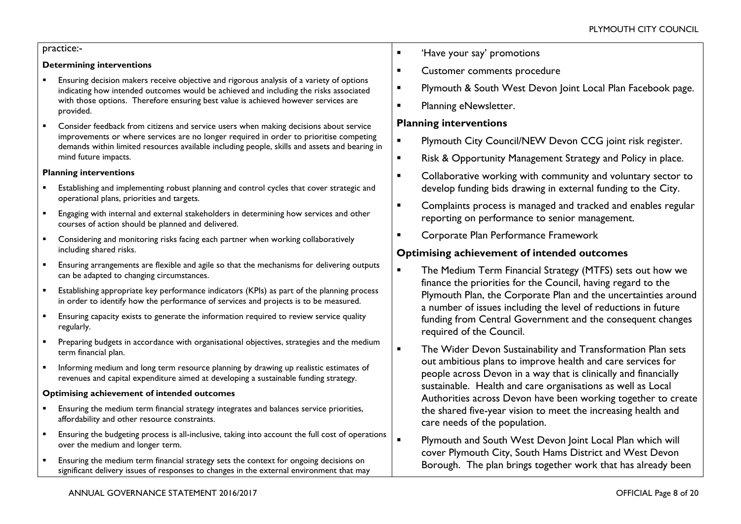### practice:-

#### **Determining interventions**

- Ensuring decision makers receive objective and rigorous analysis of a variety of options indicating how intended outcomes would be achieved and including the risks associated with those options. Therefore ensuring best value is achieved however services are provided.
- Consider feedback from citizens and service users when making decisions about service improvements or where services are no longer required in order to prioritise competing demands within limited resources available including people, skills and assets and bearing in mind future impacts.

#### **Planning interventions**

- Establishing and implementing robust planning and control cycles that cover strategic and operational plans, priorities and targets.
- **Engaging with internal and external stakeholders in determining how services and other** courses of action should be planned and delivered.
- Considering and monitoring risks facing each partner when working collaboratively including shared risks.
- Ensuring arrangements are flexible and agile so that the mechanisms for delivering outputs can be adapted to changing circumstances.
- Establishing appropriate key performance indicators (KPIs) as part of the planning process in order to identify how the performance of services and projects is to be measured.
- Ensuring capacity exists to generate the information required to review service quality regularly.
- Preparing budgets in accordance with organisational objectives, strategies and the medium term financial plan.
- **Informing medium and long term resource planning by drawing up realistic estimates of** revenues and capital expenditure aimed at developing a sustainable funding strategy.

#### **Optimising achievement of intended outcomes**

- Ensuring the medium term financial strategy integrates and balances service priorities, affordability and other resource constraints.
- Ensuring the budgeting process is all-inclusive, taking into account the full cost of operations over the medium and longer term.
- Ensuring the medium term financial strategy sets the context for ongoing decisions on significant delivery issues of responses to changes in the external environment that may
- **E** 'Have your say' promotions
- **EXECUSTOMER COMMENTS PROCEDURE**
- **Plymouth & South West Devon Joint Local Plan Facebook page.**
- **Planning eNewsletter.**

# **Planning interventions**

- **Plymouth City Council/NEW Devon CCG joint risk register.**
- **EXECUTE:** Risk & Opportunity Management Strategy and Policy in place.
- **EXECOLLA** Collaborative working with community and voluntary sector to develop funding bids drawing in external funding to the City.
- **EXECOMPLA** Complaints process is managed and tracked and enables regular reporting on performance to senior management.
- **EXECO** Corporate Plan Performance Framework

# **Optimising achievement of intended outcomes**

- **The Medium Term Financial Strategy (MTFS) sets out how we** finance the priorities for the Council, having regard to the Plymouth Plan, the Corporate Plan and the uncertainties around a number of issues including the level of reductions in future funding from Central Government and the consequent changes required of the Council.
- **The Wider Devon Sustainability and Transformation Plan sets** out ambitious plans to improve health and care services for people across Devon in a way that is clinically and financially sustainable. Health and care organisations as well as Local Authorities across Devon have been working together to create the shared five-year vision to meet the increasing health and care needs of the population.
- **Plymouth and South West Devon Joint Local Plan which will** cover Plymouth City, South Hams District and West Devon Borough. The plan brings together work that has already been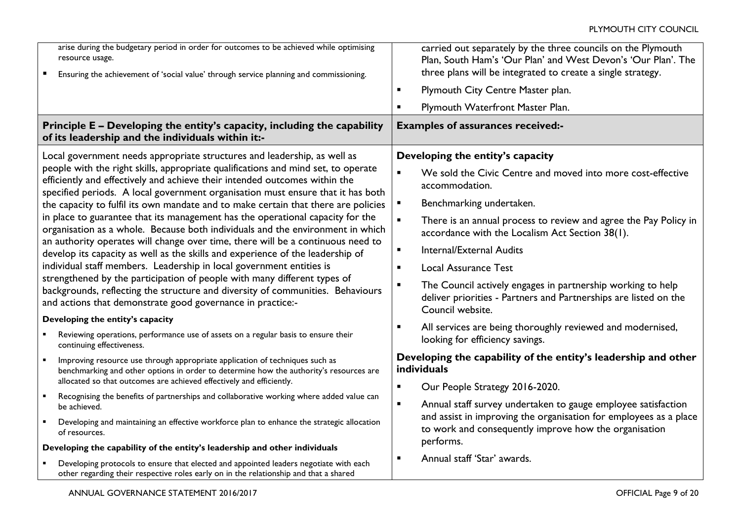|                                                                                                                                                                                                                                                                                                  | arise during the budgetary period in order for outcomes to be achieved while optimising<br>resource usage.<br>Ensuring the achievement of 'social value' through service planning and commissioning.                                               | $\blacksquare$ | carried out separately by the three councils on the Plymouth<br>Plan, South Ham's 'Our Plan' and West Devon's 'Our Plan'. The<br>three plans will be integrated to create a single strategy.<br>Plymouth City Centre Master plan. |
|--------------------------------------------------------------------------------------------------------------------------------------------------------------------------------------------------------------------------------------------------------------------------------------------------|----------------------------------------------------------------------------------------------------------------------------------------------------------------------------------------------------------------------------------------------------|----------------|-----------------------------------------------------------------------------------------------------------------------------------------------------------------------------------------------------------------------------------|
|                                                                                                                                                                                                                                                                                                  | Principle E - Developing the entity's capacity, including the capability                                                                                                                                                                           | ٠              | Plymouth Waterfront Master Plan.<br><b>Examples of assurances received:-</b>                                                                                                                                                      |
|                                                                                                                                                                                                                                                                                                  | of its leadership and the individuals within it:-                                                                                                                                                                                                  |                |                                                                                                                                                                                                                                   |
|                                                                                                                                                                                                                                                                                                  | Local government needs appropriate structures and leadership, as well as                                                                                                                                                                           |                | Developing the entity's capacity                                                                                                                                                                                                  |
|                                                                                                                                                                                                                                                                                                  | people with the right skills, appropriate qualifications and mind set, to operate<br>efficiently and effectively and achieve their intended outcomes within the<br>specified periods. A local government organisation must ensure that it has both | $\blacksquare$ | We sold the Civic Centre and moved into more cost-effective<br>accommodation.                                                                                                                                                     |
|                                                                                                                                                                                                                                                                                                  | the capacity to fulfil its own mandate and to make certain that there are policies                                                                                                                                                                 |                | Benchmarking undertaken.                                                                                                                                                                                                          |
| in place to guarantee that its management has the operational capacity for the<br>organisation as a whole. Because both individuals and the environment in which                                                                                                                                 |                                                                                                                                                                                                                                                    |                | There is an annual process to review and agree the Pay Policy in<br>accordance with the Localism Act Section 38(1).                                                                                                               |
|                                                                                                                                                                                                                                                                                                  | an authority operates will change over time, there will be a continuous need to<br>develop its capacity as well as the skills and experience of the leadership of                                                                                  | $\blacksquare$ | <b>Internal/External Audits</b>                                                                                                                                                                                                   |
| individual staff members. Leadership in local government entities is<br>strengthened by the participation of people with many different types of<br>backgrounds, reflecting the structure and diversity of communities. Behaviours<br>and actions that demonstrate good governance in practice:- |                                                                                                                                                                                                                                                    | $\blacksquare$ | <b>Local Assurance Test</b>                                                                                                                                                                                                       |
|                                                                                                                                                                                                                                                                                                  |                                                                                                                                                                                                                                                    | $\blacksquare$ | The Council actively engages in partnership working to help<br>deliver priorities - Partners and Partnerships are listed on the<br>Council website.                                                                               |
| Developing the entity's capacity                                                                                                                                                                                                                                                                 |                                                                                                                                                                                                                                                    | $\blacksquare$ | All services are being thoroughly reviewed and modernised,                                                                                                                                                                        |
|                                                                                                                                                                                                                                                                                                  | Reviewing operations, performance use of assets on a regular basis to ensure their<br>continuing effectiveness.                                                                                                                                    |                | looking for efficiency savings.                                                                                                                                                                                                   |
| $\blacksquare$                                                                                                                                                                                                                                                                                   | Improving resource use through appropriate application of techniques such as<br>benchmarking and other options in order to determine how the authority's resources are                                                                             |                | Developing the capability of the entity's leadership and other<br>individuals                                                                                                                                                     |
|                                                                                                                                                                                                                                                                                                  | allocated so that outcomes are achieved effectively and efficiently.                                                                                                                                                                               | $\blacksquare$ | Our People Strategy 2016-2020.                                                                                                                                                                                                    |
|                                                                                                                                                                                                                                                                                                  | Recognising the benefits of partnerships and collaborative working where added value can<br>be achieved.                                                                                                                                           | $\blacksquare$ | Annual staff survey undertaken to gauge employee satisfaction                                                                                                                                                                     |
|                                                                                                                                                                                                                                                                                                  | Developing and maintaining an effective workforce plan to enhance the strategic allocation<br>of resources.                                                                                                                                        |                | and assist in improving the organisation for employees as a place<br>to work and consequently improve how the organisation                                                                                                        |
| Developing the capability of the entity's leadership and other individuals                                                                                                                                                                                                                       |                                                                                                                                                                                                                                                    |                | performs.                                                                                                                                                                                                                         |
|                                                                                                                                                                                                                                                                                                  | Developing protocols to ensure that elected and appointed leaders negotiate with each<br>other regarding their respective roles early on in the relationship and that a shared                                                                     |                | Annual staff 'Star' awards.                                                                                                                                                                                                       |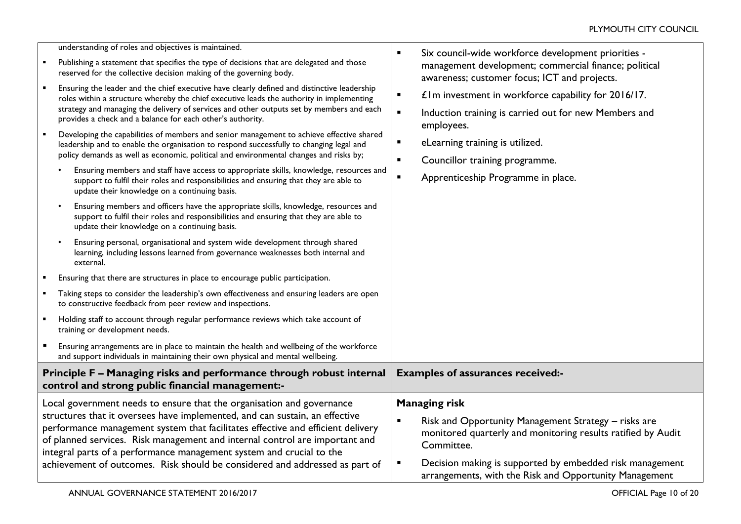| п                                                                                                                                                                                                                                                                                                                                                                                                                                                                             | understanding of roles and objectives is maintained.<br>Publishing a statement that specifies the type of decisions that are delegated and those<br>reserved for the collective decision making of the governing body.<br>Ensuring the leader and the chief executive have clearly defined and distinctive leadership<br>roles within a structure whereby the chief executive leads the authority in implementing<br>strategy and managing the delivery of services and other outputs set by members and each<br>provides a check and a balance for each other's authority.<br>Developing the capabilities of members and senior management to achieve effective shared<br>leadership and to enable the organisation to respond successfully to changing legal and<br>policy demands as well as economic, political and environmental changes and risks by;<br>Ensuring members and staff have access to appropriate skills, knowledge, resources and<br>support to fulfil their roles and responsibilities and ensuring that they are able to<br>update their knowledge on a continuing basis.<br>Ensuring members and officers have the appropriate skills, knowledge, resources and<br>support to fulfil their roles and responsibilities and ensuring that they are able to<br>update their knowledge on a continuing basis.<br>Ensuring personal, organisational and system wide development through shared<br>learning, including lessons learned from governance weaknesses both internal and<br>external.<br>Ensuring that there are structures in place to encourage public participation.<br>Taking steps to consider the leadership's own effectiveness and ensuring leaders are open<br>to constructive feedback from peer review and inspections.<br>Holding staff to account through regular performance reviews which take account of<br>training or development needs.<br>Ensuring arrangements are in place to maintain the health and wellbeing of the workforce | Six council-wide workforce development priorities -<br>$\blacksquare$<br>management development; commercial finance; political<br>awareness; customer focus; ICT and projects.<br>£1m investment in workforce capability for 2016/17.<br>$\blacksquare$<br>Induction training is carried out for new Members and<br>$\blacksquare$<br>employees.<br>eLearning training is utilized.<br>٠<br>Councillor training programme.<br>$\blacksquare$<br>Apprenticeship Programme in place.<br>$\blacksquare$ |
|-------------------------------------------------------------------------------------------------------------------------------------------------------------------------------------------------------------------------------------------------------------------------------------------------------------------------------------------------------------------------------------------------------------------------------------------------------------------------------|------------------------------------------------------------------------------------------------------------------------------------------------------------------------------------------------------------------------------------------------------------------------------------------------------------------------------------------------------------------------------------------------------------------------------------------------------------------------------------------------------------------------------------------------------------------------------------------------------------------------------------------------------------------------------------------------------------------------------------------------------------------------------------------------------------------------------------------------------------------------------------------------------------------------------------------------------------------------------------------------------------------------------------------------------------------------------------------------------------------------------------------------------------------------------------------------------------------------------------------------------------------------------------------------------------------------------------------------------------------------------------------------------------------------------------------------------------------------------------------------------------------------------------------------------------------------------------------------------------------------------------------------------------------------------------------------------------------------------------------------------------------------------------------------------------------------------------------------------------------------------------------------------------------------------------------------------------------------------------|------------------------------------------------------------------------------------------------------------------------------------------------------------------------------------------------------------------------------------------------------------------------------------------------------------------------------------------------------------------------------------------------------------------------------------------------------------------------------------------------------|
|                                                                                                                                                                                                                                                                                                                                                                                                                                                                               | and support individuals in maintaining their own physical and mental wellbeing.                                                                                                                                                                                                                                                                                                                                                                                                                                                                                                                                                                                                                                                                                                                                                                                                                                                                                                                                                                                                                                                                                                                                                                                                                                                                                                                                                                                                                                                                                                                                                                                                                                                                                                                                                                                                                                                                                                    |                                                                                                                                                                                                                                                                                                                                                                                                                                                                                                      |
| Principle F - Managing risks and performance through robust internal<br>control and strong public financial management:-                                                                                                                                                                                                                                                                                                                                                      |                                                                                                                                                                                                                                                                                                                                                                                                                                                                                                                                                                                                                                                                                                                                                                                                                                                                                                                                                                                                                                                                                                                                                                                                                                                                                                                                                                                                                                                                                                                                                                                                                                                                                                                                                                                                                                                                                                                                                                                    | <b>Examples of assurances received:-</b>                                                                                                                                                                                                                                                                                                                                                                                                                                                             |
| Local government needs to ensure that the organisation and governance<br>structures that it oversees have implemented, and can sustain, an effective<br>performance management system that facilitates effective and efficient delivery<br>of planned services. Risk management and internal control are important and<br>integral parts of a performance management system and crucial to the<br>achievement of outcomes. Risk should be considered and addressed as part of |                                                                                                                                                                                                                                                                                                                                                                                                                                                                                                                                                                                                                                                                                                                                                                                                                                                                                                                                                                                                                                                                                                                                                                                                                                                                                                                                                                                                                                                                                                                                                                                                                                                                                                                                                                                                                                                                                                                                                                                    | <b>Managing risk</b><br>Risk and Opportunity Management Strategy - risks are<br>$\blacksquare$                                                                                                                                                                                                                                                                                                                                                                                                       |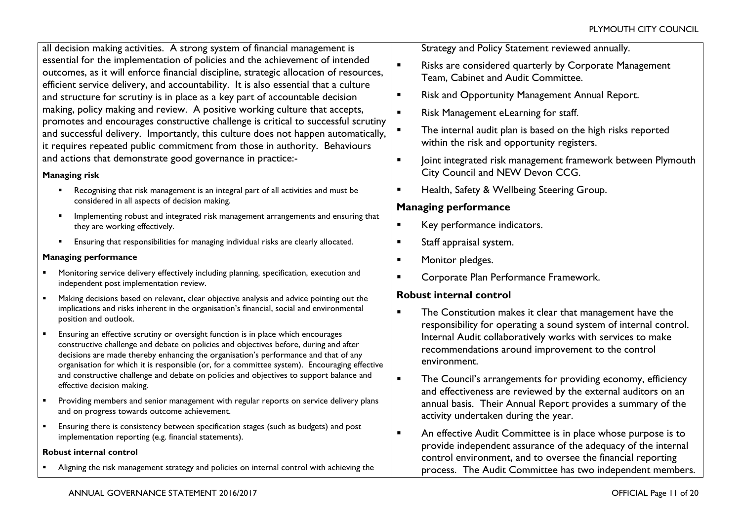all decision making activities. A strong system of financial management is essential for the implementation of policies and the achievement of intended outcomes, as it will enforce financial discipline, strategic allocation of resources, efficient service delivery, and accountability. It is also essential that a culture and structure for scrutiny is in place as a key part of accountable decision making, policy making and review. A positive working culture that accepts, promotes and encourages constructive challenge is critical to successful scrutiny and successful delivery. Importantly, this culture does not happen automatically, it requires repeated public commitment from those in authority. Behaviours and actions that demonstrate good governance in practice:-

### **Managing risk**

- Recognising that risk management is an integral part of all activities and must be considered in all aspects of decision making.
- Implementing robust and integrated risk management arrangements and ensuring that they are working effectively.
- Ensuring that responsibilities for managing individual risks are clearly allocated.

### **Managing performance**

- Monitoring service delivery effectively including planning, specification, execution and independent post implementation review.
- Making decisions based on relevant, clear objective analysis and advice pointing out the implications and risks inherent in the organisation's financial, social and environmental position and outlook.
- Ensuring an effective scrutiny or oversight function is in place which encourages constructive challenge and debate on policies and objectives before, during and after decisions are made thereby enhancing the organisation's performance and that of any organisation for which it is responsible (or, for a committee system). Encouraging effective and constructive challenge and debate on policies and objectives to support balance and effective decision making.
- **Providing members and senior management with regular reports on service delivery plans** and on progress towards outcome achievement.
- Ensuring there is consistency between specification stages (such as budgets) and post implementation reporting (e.g. financial statements).

### **Robust internal control**

Aligning the risk management strategy and policies on internal control with achieving the

Strategy and Policy Statement reviewed annually.

- **EXECT:** Risks are considered quarterly by Corporate Management Team, Cabinet and Audit Committee.
- **Risk and Opportunity Management Annual Report.**
- Risk Management eLearning for staff.
- The internal audit plan is based on the high risks reported within the risk and opportunity registers.
- |oint integrated risk management framework between Plymouth City Council and NEW Devon CCG.
- **Health, Safety & Wellbeing Steering Group.**

# **Managing performance**

- **Key performance indicators.**
- **Staff appraisal system.**
- **Monitor pledges.**
- **EXECO CORPORATE Plan Performance Framework.**

# **Robust internal control**

- **The Constitution makes it clear that management have the** responsibility for operating a sound system of internal control. Internal Audit collaboratively works with services to make recommendations around improvement to the control environment.
- **The Council's arrangements for providing economy, efficiency** and effectiveness are reviewed by the external auditors on an annual basis. Their Annual Report provides a summary of the activity undertaken during the year.
- An effective Audit Committee is in place whose purpose is to provide independent assurance of the adequacy of the internal control environment, and to oversee the financial reporting process. The Audit Committee has two independent members.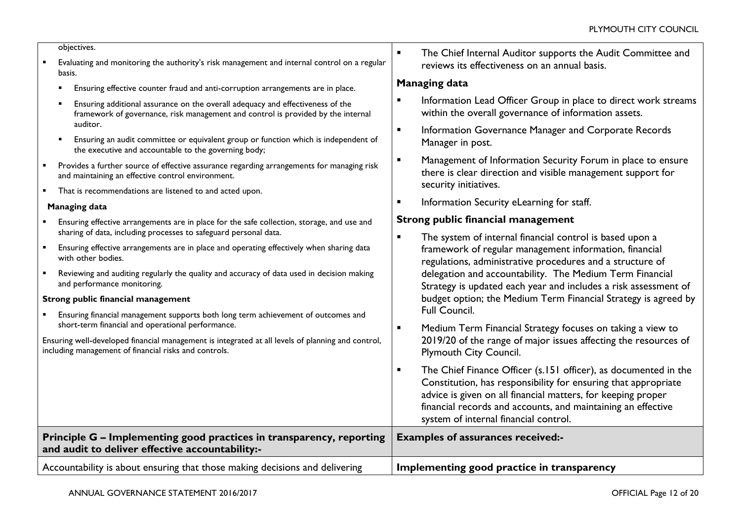objectives.

- Evaluating and monitoring the authority's risk management and internal control on a regular basis.
	- Ensuring effective counter fraud and anti-corruption arrangements are in place.
	- Ensuring additional assurance on the overall adequacy and effectiveness of the framework of governance, risk management and control is provided by the internal auditor.
	- Ensuring an audit committee or equivalent group or function which is independent of the executive and accountable to the governing body;
- Provides a further source of effective assurance regarding arrangements for managing risk and maintaining an effective control environment.
- **That is recommendations are listened to and acted upon.**

### **Managing data**

- Ensuring effective arrangements are in place for the safe collection, storage, and use and sharing of data, including processes to safeguard personal data.
- Ensuring effective arrangements are in place and operating effectively when sharing data with other bodies.
- Reviewing and auditing regularly the quality and accuracy of data used in decision making and performance monitoring.

### **Strong public financial management**

 Ensuring financial management supports both long term achievement of outcomes and short-term financial and operational performance.

Ensuring well-developed financial management is integrated at all levels of planning and control, including management of financial risks and controls.

**The Chief Internal Auditor supports the Audit Committee and** reviews its effectiveness on an annual basis.

### **Managing data**

- **Information Lead Officer Group in place to direct work streams** within the overall governance of information assets.
- **Information Governance Manager and Corporate Records** Manager in post.
- **EXECUTE:** Management of Information Security Forum in place to ensure there is clear direction and visible management support for security initiatives.
- **Information Security eLearning for staff.**

# **Strong public financial management**

- **The system of internal financial control is based upon a** framework of regular management information, financial regulations, administrative procedures and a structure of delegation and accountability. The Medium Term Financial Strategy is updated each year and includes a risk assessment of budget option; the Medium Term Financial Strategy is agreed by Full Council.
- Medium Term Financial Strategy focuses on taking a view to 2019/20 of the range of major issues affecting the resources of Plymouth City Council.
- **The Chief Finance Officer (s.151 officer), as documented in the** Constitution, has responsibility for ensuring that appropriate advice is given on all financial matters, for keeping proper financial records and accounts, and maintaining an effective system of internal financial control.

| Principle $G$ – Implementing good practices in transparency, reporting $\vert$ Examples of assurances received:-<br>and audit to deliver effective accountability: |                                            |
|--------------------------------------------------------------------------------------------------------------------------------------------------------------------|--------------------------------------------|
| Accountability is about ensuring that those making decisions and delivering                                                                                        | Implementing good practice in transparency |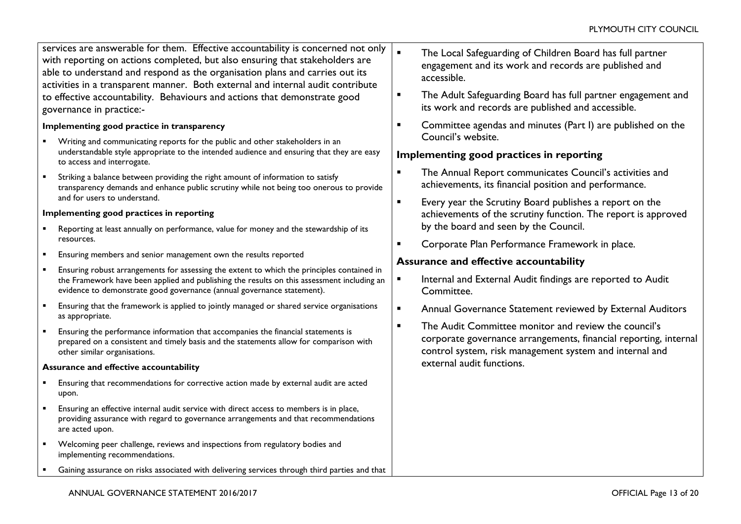services are answerable for them. Effective accountability is concerned not only with reporting on actions completed, but also ensuring that stakeholders are able to understand and respond as the organisation plans and carries out its activities in a transparent manner. Both external and internal audit contribute to effective accountability. Behaviours and actions that demonstrate good governance in practice:-

### **Implementing good practice in transparency**

- Writing and communicating reports for the public and other stakeholders in an understandable style appropriate to the intended audience and ensuring that they are easy to access and interrogate.
- Striking a balance between providing the right amount of information to satisfy transparency demands and enhance public scrutiny while not being too onerous to provide and for users to understand.

### **Implementing good practices in reporting**

- Reporting at least annually on performance, value for money and the stewardship of its resources.
- **Ensuring members and senior management own the results reported**
- Ensuring robust arrangements for assessing the extent to which the principles contained in the Framework have been applied and publishing the results on this assessment including an evidence to demonstrate good governance (annual governance statement).
- Ensuring that the framework is applied to jointly managed or shared service organisations as appropriate.
- Ensuring the performance information that accompanies the financial statements is prepared on a consistent and timely basis and the statements allow for comparison with other similar organisations.

#### **Assurance and effective accountability**

- Ensuring that recommendations for corrective action made by external audit are acted upon.
- **Ensuring an effective internal audit service with direct access to members is in place,** providing assurance with regard to governance arrangements and that recommendations are acted upon.
- Welcoming peer challenge, reviews and inspections from regulatory bodies and implementing recommendations.
- Gaining assurance on risks associated with delivering services through third parties and that
- **The Local Safeguarding of Children Board has full partner** engagement and its work and records are published and accessible.
- **The Adult Safeguarding Board has full partner engagement and** its work and records are published and accessible.
- **EXECOMMITTEE EXECUTE:** Committee agendas and minutes (Part I) are published on the Council's website.

# **Implementing good practices in reporting**

- **The Annual Report communicates Council's activities and** achievements, its financial position and performance.
- **EVERT** Every year the Scrutiny Board publishes a report on the achievements of the scrutiny function. The report is approved by the board and seen by the Council.
- **EXECO FORM COLPERT** Corporate Plan Performance Framework in place.

# **Assurance and effective accountability**

- **Internal and External Audit findings are reported to Audit** Committee.
- **EXTERNAL Annual Governance Statement reviewed by External Auditors**
- **EXECOMEDIATE:** The Audit Committee monitor and review the council's corporate governance arrangements, financial reporting, internal control system, risk management system and internal and external audit functions.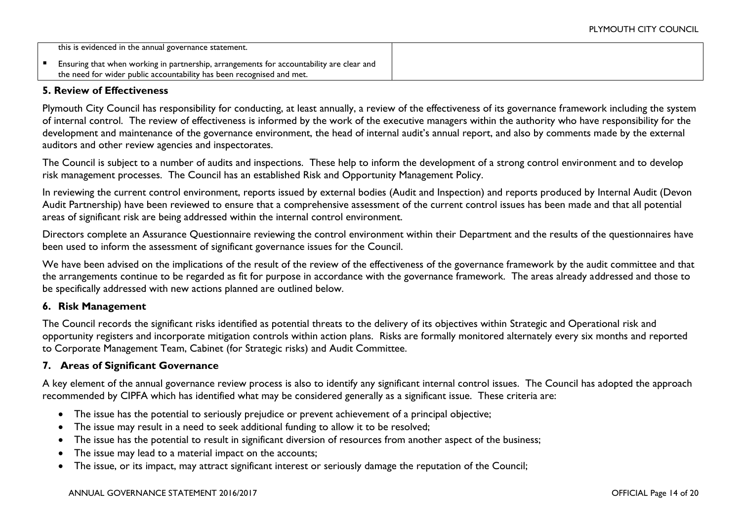| this is evidenced in the annual governance statement.                                    |  |
|------------------------------------------------------------------------------------------|--|
| Ensuring that when working in partnership, arrangements for accountability are clear and |  |
| the need for wider public accountability has been recognised and met.                    |  |

# **5. Review of Effectiveness**

Plymouth City Council has responsibility for conducting, at least annually, a review of the effectiveness of its governance framework including the system of internal control. The review of effectiveness is informed by the work of the executive managers within the authority who have responsibility for the development and maintenance of the governance environment, the head of internal audit's annual report, and also by comments made by the external auditors and other review agencies and inspectorates.

The Council is subject to a number of audits and inspections. These help to inform the development of a strong control environment and to develop risk management processes. The Council has an established Risk and Opportunity Management Policy.

In reviewing the current control environment, reports issued by external bodies (Audit and Inspection) and reports produced by Internal Audit (Devon Audit Partnership) have been reviewed to ensure that a comprehensive assessment of the current control issues has been made and that all potential areas of significant risk are being addressed within the internal control environment.

Directors complete an Assurance Questionnaire reviewing the control environment within their Department and the results of the questionnaires have been used to inform the assessment of significant governance issues for the Council.

We have been advised on the implications of the result of the review of the effectiveness of the governance framework by the audit committee and that the arrangements continue to be regarded as fit for purpose in accordance with the governance framework. The areas already addressed and those to be specifically addressed with new actions planned are outlined below.

### **6. Risk Management**

The Council records the significant risks identified as potential threats to the delivery of its objectives within Strategic and Operational risk and opportunity registers and incorporate mitigation controls within action plans. Risks are formally monitored alternately every six months and reported to Corporate Management Team, Cabinet (for Strategic risks) and Audit Committee.

# **7. Areas of Significant Governance**

A key element of the annual governance review process is also to identify any significant internal control issues. The Council has adopted the approach recommended by CIPFA which has identified what may be considered generally as a significant issue. These criteria are:

- The issue has the potential to seriously prejudice or prevent achievement of a principal objective;
- The issue may result in a need to seek additional funding to allow it to be resolved;
- The issue has the potential to result in significant diversion of resources from another aspect of the business;
- The issue may lead to a material impact on the accounts;
- The issue, or its impact, may attract significant interest or seriously damage the reputation of the Council;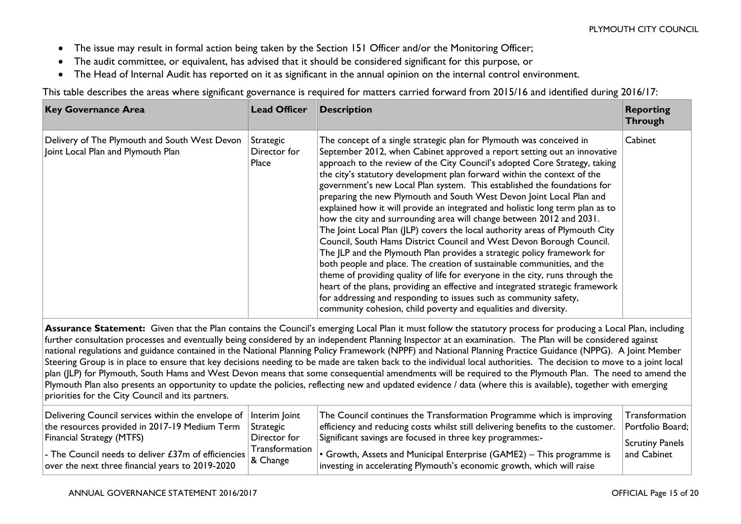- The issue may result in formal action being taken by the Section 151 Officer and/or the Monitoring Officer;
- The audit committee, or equivalent, has advised that it should be considered significant for this purpose, or
- The Head of Internal Audit has reported on it as significant in the annual opinion on the internal control environment.

This table describes the areas where significant governance is required for matters carried forward from 2015/16 and identified during 2016/17:

| <b>Key Governance Area</b>                                                          | <b>Lead Officer</b>                | <b>Description</b>                                                                                                                                                                                                                                                                                                                                                                                                                                                                                                                                                                                                                                                                                                                                                                                                                                                                                                                                                                                                                                                                                                                                                                                                                             | <b>Reporting</b><br><b>Through</b> |
|-------------------------------------------------------------------------------------|------------------------------------|------------------------------------------------------------------------------------------------------------------------------------------------------------------------------------------------------------------------------------------------------------------------------------------------------------------------------------------------------------------------------------------------------------------------------------------------------------------------------------------------------------------------------------------------------------------------------------------------------------------------------------------------------------------------------------------------------------------------------------------------------------------------------------------------------------------------------------------------------------------------------------------------------------------------------------------------------------------------------------------------------------------------------------------------------------------------------------------------------------------------------------------------------------------------------------------------------------------------------------------------|------------------------------------|
| Delivery of The Plymouth and South West Devon<br>Joint Local Plan and Plymouth Plan | Strategic<br>Director for<br>Place | The concept of a single strategic plan for Plymouth was conceived in<br>September 2012, when Cabinet approved a report setting out an innovative<br>approach to the review of the City Council's adopted Core Strategy, taking<br>the city's statutory development plan forward within the context of the<br>government's new Local Plan system. This established the foundations for<br>preparing the new Plymouth and South West Devon Joint Local Plan and<br>explained how it will provide an integrated and holistic long term plan as to<br>how the city and surrounding area will change between 2012 and 2031.<br>The Joint Local Plan (JLP) covers the local authority areas of Plymouth City<br>Council, South Hams District Council and West Devon Borough Council.<br>The JLP and the Plymouth Plan provides a strategic policy framework for<br>both people and place. The creation of sustainable communities, and the<br>theme of providing quality of life for everyone in the city, runs through the<br>heart of the plans, providing an effective and integrated strategic framework<br>for addressing and responding to issues such as community safety,<br>community cohesion, child poverty and equalities and diversity. | Cabinet                            |
|                                                                                     |                                    | Assurance Statement: Given that the Plan contains the Council's emerging Local Plan it must follow the statutory process for producing a Local Plan, including<br>further consultation processes and eventually being considered by an independent Planning Inspector at an examination. The Plan will be considered against<br>national regulations and guidance contained in the National Planning Policy Framework (NPPF) and National Planning Practice Guidance (NPPG). A Joint Member<br>Steering Group is in place to ensure that key decisions needing to be made are taken back to the individual local authorities. The decision to move to a joint local                                                                                                                                                                                                                                                                                                                                                                                                                                                                                                                                                                            |                                    |

plan (JLP) for Plymouth, South Hams and West Devon means that some consequential amendments will be required to the Plymouth Plan. The need to amend the Plymouth Plan also presents an opportunity to update the policies, reflecting new and updated evidence / data (where this is available), together with emerging priorities for the City Council and its partners.

| Delivering Council services within the envelope of Interim Joint    | Strategic             | The Council continues the Transformation Programme which is improving           | Transformation   |
|---------------------------------------------------------------------|-----------------------|---------------------------------------------------------------------------------|------------------|
| the resources provided in 2017-19 Medium Term                       |                       | efficiency and reducing costs whilst still delivering benefits to the customer. | Portfolio Board; |
| <b>Financial Strategy (MTFS)</b>                                    | Director for          | Significant savings are focused in three key programmes:-                       | Scrutiny Panels  |
| $\vert$ - The Council needs to deliver £37m of efficiencies $\vert$ | $\mid$ Transformation | $\cdot$ Growth, Assets and Municipal Enterprise (GAME2) – This programme is     | and Cabinet      |
| over the next three financial years to 2019-2020                    | $ $ & Change          | investing in accelerating Plymouth's economic growth, which will raise          |                  |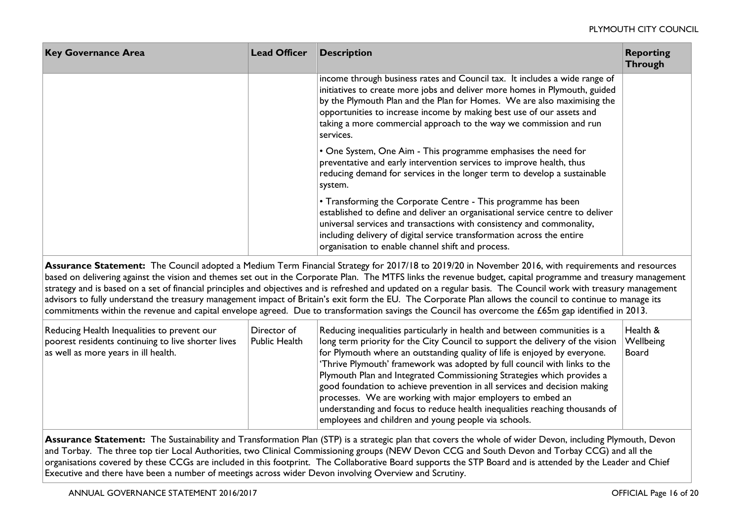| <b>Key Governance Area</b> | <b>Lead Officer</b> | <b>Description</b>                                                                                                                                                                                                                                                                                                                                                                              | <b>Reporting</b><br><b>Through</b> |
|----------------------------|---------------------|-------------------------------------------------------------------------------------------------------------------------------------------------------------------------------------------------------------------------------------------------------------------------------------------------------------------------------------------------------------------------------------------------|------------------------------------|
|                            |                     | income through business rates and Council tax. It includes a wide range of<br>initiatives to create more jobs and deliver more homes in Plymouth, guided<br>by the Plymouth Plan and the Plan for Homes. We are also maximising the<br>opportunities to increase income by making best use of our assets and<br>taking a more commercial approach to the way we commission and run<br>services. |                                    |
|                            |                     | • One System, One Aim - This programme emphasises the need for<br>preventative and early intervention services to improve health, thus<br>reducing demand for services in the longer term to develop a sustainable<br>system.                                                                                                                                                                   |                                    |
|                            |                     | • Transforming the Corporate Centre - This programme has been<br>established to define and deliver an organisational service centre to deliver<br>universal services and transactions with consistency and commonality,<br>including delivery of digital service transformation across the entire<br>organisation to enable channel shift and process.                                          |                                    |

**Assurance Statement:** The Council adopted a Medium Term Financial Strategy for 2017/18 to 2019/20 in November 2016, with requirements and resources based on delivering against the vision and themes set out in the Corporate Plan. The MTFS links the revenue budget, capital programme and treasury management strategy and is based on a set of financial principles and objectives and is refreshed and updated on a regular basis. The Council work with treasury management advisors to fully understand the treasury management impact of Britain's exit form the EU. The Corporate Plan allows the council to continue to manage its commitments within the revenue and capital envelope agreed. Due to transformation savings the Council has overcome the £65m gap identified in 2013.

| Reducing Health Inequalities to prevent our<br>poorest residents continuing to live shorter lives<br>as well as more years in ill health. | Director of<br>Public Health | Reducing inequalities particularly in health and between communities is a<br>long term priority for the City Council to support the delivery of the vision<br>for Plymouth where an outstanding quality of life is enjoyed by everyone.<br>'Thrive Plymouth' framework was adopted by full council with links to the<br>Plymouth Plan and Integrated Commissioning Strategies which provides a<br>good foundation to achieve prevention in all services and decision making<br>processes. We are working with major employers to embed an<br>understanding and focus to reduce health inequalities reaching thousands of<br>employees and children and young people via schools. | Health &<br>Wellbeing<br>Board |
|-------------------------------------------------------------------------------------------------------------------------------------------|------------------------------|----------------------------------------------------------------------------------------------------------------------------------------------------------------------------------------------------------------------------------------------------------------------------------------------------------------------------------------------------------------------------------------------------------------------------------------------------------------------------------------------------------------------------------------------------------------------------------------------------------------------------------------------------------------------------------|--------------------------------|
|-------------------------------------------------------------------------------------------------------------------------------------------|------------------------------|----------------------------------------------------------------------------------------------------------------------------------------------------------------------------------------------------------------------------------------------------------------------------------------------------------------------------------------------------------------------------------------------------------------------------------------------------------------------------------------------------------------------------------------------------------------------------------------------------------------------------------------------------------------------------------|--------------------------------|

**Assurance Statement:** The Sustainability and Transformation Plan (STP) is a strategic plan that covers the whole of wider Devon, including Plymouth, Devon and Torbay. The three top tier Local Authorities, two Clinical Commissioning groups (NEW Devon CCG and South Devon and Torbay CCG) and all the organisations covered by these CCGs are included in this footprint. The Collaborative Board supports the STP Board and is attended by the Leader and Chief Executive and there have been a number of meetings across wider Devon involving Overview and Scrutiny.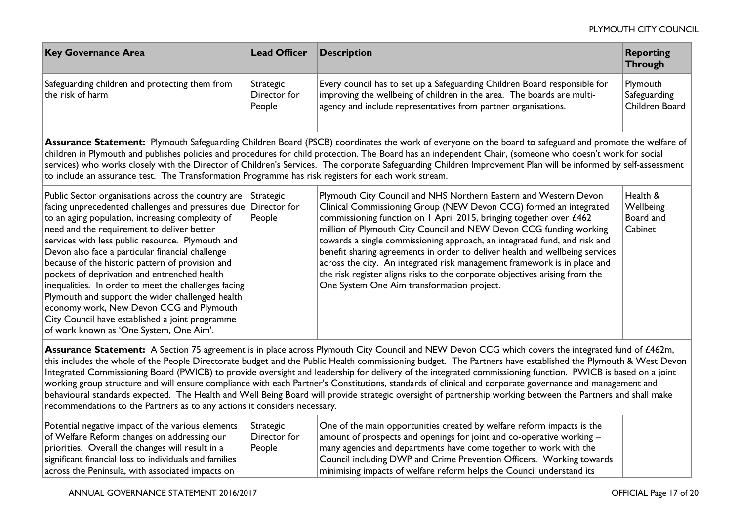| <b>Key Governance Area</b>                                                                                                                                                                                                                                                                                                                                                                                                                                                                                                                                                                                                                                                  | <b>Lead Officer</b>                 | <b>Description</b>                                                                                                                                                                                                                                                                                                                                                                                                                                                                                                                                                                                                                                       | <b>Reporting</b><br><b>Through</b>            |
|-----------------------------------------------------------------------------------------------------------------------------------------------------------------------------------------------------------------------------------------------------------------------------------------------------------------------------------------------------------------------------------------------------------------------------------------------------------------------------------------------------------------------------------------------------------------------------------------------------------------------------------------------------------------------------|-------------------------------------|----------------------------------------------------------------------------------------------------------------------------------------------------------------------------------------------------------------------------------------------------------------------------------------------------------------------------------------------------------------------------------------------------------------------------------------------------------------------------------------------------------------------------------------------------------------------------------------------------------------------------------------------------------|-----------------------------------------------|
| Safeguarding children and protecting them from<br>the risk of harm                                                                                                                                                                                                                                                                                                                                                                                                                                                                                                                                                                                                          | Strategic<br>Director for<br>People | Every council has to set up a Safeguarding Children Board responsible for<br>improving the wellbeing of children in the area. The boards are multi-<br>agency and include representatives from partner organisations.                                                                                                                                                                                                                                                                                                                                                                                                                                    | Plymouth<br>Safeguarding<br>Children Board    |
| Assurance Statement: Plymouth Safeguarding Children Board (PSCB) coordinates the work of everyone on the board to safeguard and promote the welfare of<br>children in Plymouth and publishes policies and procedures for child protection. The Board has an independent Chair, (someone who doesn't work for social<br>services) who works closely with the Director of Children's Services. The corporate Safeguarding Children Improvement Plan will be informed by self-assessment<br>to include an assurance test. The Transformation Programme has risk registers for each work stream.                                                                                |                                     |                                                                                                                                                                                                                                                                                                                                                                                                                                                                                                                                                                                                                                                          |                                               |
| Public Sector organisations across the country are<br>facing unprecedented challenges and pressures due<br>to an aging population, increasing complexity of<br>need and the requirement to deliver better<br>services with less public resource. Plymouth and<br>Devon also face a particular financial challenge<br>because of the historic pattern of provision and<br>pockets of deprivation and entrenched health<br>inequalities. In order to meet the challenges facing<br>Plymouth and support the wider challenged health<br>economy work, New Devon CCG and Plymouth<br>City Council have established a joint programme<br>of work known as 'One System, One Aim'. | Strategic<br>Director for<br>People | Plymouth City Council and NHS Northern Eastern and Western Devon<br>Clinical Commissioning Group (NEW Devon CCG) formed an integrated<br>commissioning function on 1 April 2015, bringing together over £462<br>million of Plymouth City Council and NEW Devon CCG funding working<br>towards a single commissioning approach, an integrated fund, and risk and<br>benefit sharing agreements in order to deliver health and wellbeing services<br>across the city. An integrated risk management framework is in place and<br>the risk register aligns risks to the corporate objectives arising from the<br>One System One Aim transformation project. | Health &<br>Wellbeing<br>Board and<br>Cabinet |
| Assurance Statement: A Section 75 agreement is in place across Plymouth City Council and NEW Devon CCG which covers the integrated fund of £462m,<br>this includes the whole of the People Directorate budget and the Public Health commissioning budget. The Partners have established the Plymouth & West Devon<br>Integrated Commissioning Board (PWICB) to provide oversight and leadership for delivery of the integrated commissioning function. PWICB is based on a joint<br>working group structure and will ensure compliance with each Partner's Constitutions, standards of clinical and corporate governance and management and                                 |                                     |                                                                                                                                                                                                                                                                                                                                                                                                                                                                                                                                                                                                                                                          |                                               |

behavioural standards expected. The Health and Well Being Board will provide strategic oversight of partnership working between the Partners and shall make recommendations to the Partners as to any actions it considers necessary.

| Potential negative impact of the various elements<br>of Welfare Reform changes on addressing our<br>priorities. Overall the changes will result in a | Strategic<br>Director for<br>People | One of the main opportunities created by welfare reform impacts is the<br>amount of prospects and openings for joint and co-operative working $-$<br>many agencies and departments have come together to work with the |  |
|------------------------------------------------------------------------------------------------------------------------------------------------------|-------------------------------------|------------------------------------------------------------------------------------------------------------------------------------------------------------------------------------------------------------------------|--|
| significant financial loss to individuals and families                                                                                               |                                     | Council including DWP and Crime Prevention Officers. Working towards                                                                                                                                                   |  |
| across the Peninsula, with associated impacts on                                                                                                     |                                     | minimising impacts of welfare reform helps the Council understand its                                                                                                                                                  |  |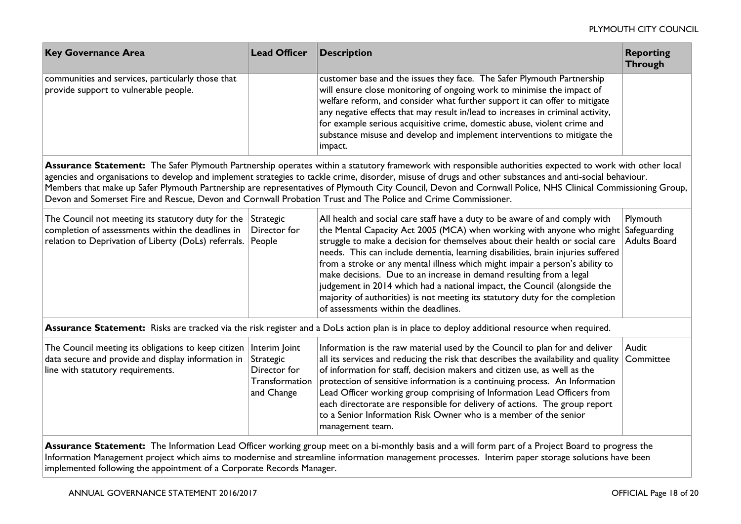| <b>Key Governance Area</b>                                                                                                                                                                                                                                                                                                                                                                                                                                                                                                                                                                           | <b>Lead Officer</b>                                                        | <b>Description</b>                                                                                                                                                                                                                                                                                                                                                                                                                                                                                                                                                                                                                                                                                 | <b>Reporting</b><br><b>Through</b> |
|------------------------------------------------------------------------------------------------------------------------------------------------------------------------------------------------------------------------------------------------------------------------------------------------------------------------------------------------------------------------------------------------------------------------------------------------------------------------------------------------------------------------------------------------------------------------------------------------------|----------------------------------------------------------------------------|----------------------------------------------------------------------------------------------------------------------------------------------------------------------------------------------------------------------------------------------------------------------------------------------------------------------------------------------------------------------------------------------------------------------------------------------------------------------------------------------------------------------------------------------------------------------------------------------------------------------------------------------------------------------------------------------------|------------------------------------|
| communities and services, particularly those that<br>provide support to vulnerable people.                                                                                                                                                                                                                                                                                                                                                                                                                                                                                                           |                                                                            | customer base and the issues they face. The Safer Plymouth Partnership<br>will ensure close monitoring of ongoing work to minimise the impact of<br>welfare reform, and consider what further support it can offer to mitigate<br>any negative effects that may result in/lead to increases in criminal activity,<br>for example serious acquisitive crime, domestic abuse, violent crime and<br>substance misuse and develop and implement interventions to mitigate the<br>impact.                                                                                                                                                                                                               |                                    |
| Assurance Statement: The Safer Plymouth Partnership operates within a statutory framework with responsible authorities expected to work with other local<br>agencies and organisations to develop and implement strategies to tackle crime, disorder, misuse of drugs and other substances and anti-social behaviour.<br>Members that make up Safer Plymouth Partnership are representatives of Plymouth City Council, Devon and Cornwall Police, NHS Clinical Commissioning Group,<br>Devon and Somerset Fire and Rescue, Devon and Cornwall Probation Trust and The Police and Crime Commissioner. |                                                                            |                                                                                                                                                                                                                                                                                                                                                                                                                                                                                                                                                                                                                                                                                                    |                                    |
| The Council not meeting its statutory duty for the Strategic<br>completion of assessments within the deadlines in<br>relation to Deprivation of Liberty (DoLs) referrals.                                                                                                                                                                                                                                                                                                                                                                                                                            | Director for<br>People                                                     | All health and social care staff have a duty to be aware of and comply with<br>the Mental Capacity Act 2005 (MCA) when working with anyone who might Safeguarding<br>struggle to make a decision for themselves about their health or social care<br>needs. This can include dementia, learning disabilities, brain injuries suffered<br>from a stroke or any mental illness which might impair a person's ability to<br>make decisions. Due to an increase in demand resulting from a legal<br>judgement in 2014 which had a national impact, the Council (alongside the<br>majority of authorities) is not meeting its statutory duty for the completion<br>of assessments within the deadlines. | Plymouth<br><b>Adults Board</b>    |
|                                                                                                                                                                                                                                                                                                                                                                                                                                                                                                                                                                                                      |                                                                            | Assurance Statement: Risks are tracked via the risk register and a DoLs action plan is in place to deploy additional resource when required.                                                                                                                                                                                                                                                                                                                                                                                                                                                                                                                                                       |                                    |
| The Council meeting its obligations to keep citizen<br>data secure and provide and display information in<br>line with statutory requirements.                                                                                                                                                                                                                                                                                                                                                                                                                                                       | Interim Joint<br>Strategic<br>Director for<br>Transformation<br>and Change | Information is the raw material used by the Council to plan for and deliver<br>all its services and reducing the risk that describes the availability and quality<br>of information for staff, decision makers and citizen use, as well as the<br>protection of sensitive information is a continuing process. An Information<br>Lead Officer working group comprising of Information Lead Officers from<br>each directorate are responsible for delivery of actions. The group report<br>to a Senior Information Risk Owner who is a member of the senior<br>management team.                                                                                                                     | Audit<br>Committee                 |
| Assurance Statement: The Information Lead Officer working group meet on a bi-monthly basis and a will form part of a Project Board to progress the<br>Information Management project which aims to modernise and streamline information management processes. Interim paper storage solutions have been<br>implemented following the appointment of a Corporate Records Manager.                                                                                                                                                                                                                     |                                                                            |                                                                                                                                                                                                                                                                                                                                                                                                                                                                                                                                                                                                                                                                                                    |                                    |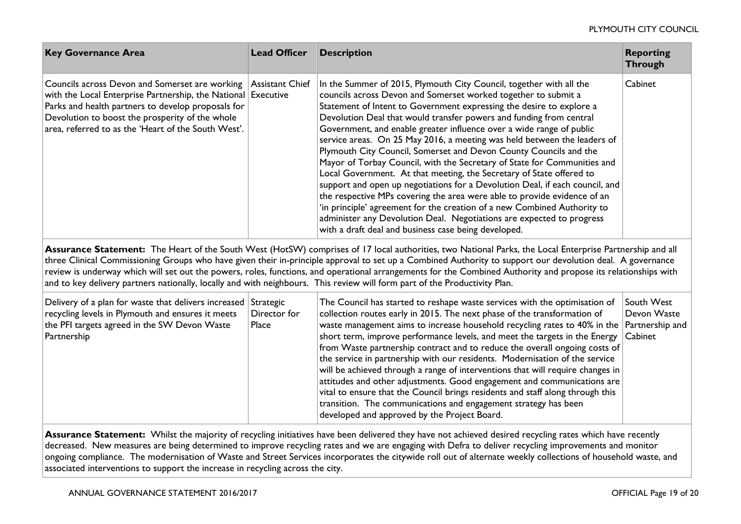| <b>Key Governance Area</b>                                                                                                                                                                                                                                                                                       | <b>Lead Officer</b>   | <b>Description</b>                                                                                                                                                                                                                                                                                                                                                                                                                                                                                                                                                                                                                                                                                                                                                                                                                                                                                                                                                                                                                                                                                                                                                                                                                                                                                                                                                                                                                                                                                                                     | <b>Reporting</b><br><b>Through</b>   |
|------------------------------------------------------------------------------------------------------------------------------------------------------------------------------------------------------------------------------------------------------------------------------------------------------------------|-----------------------|----------------------------------------------------------------------------------------------------------------------------------------------------------------------------------------------------------------------------------------------------------------------------------------------------------------------------------------------------------------------------------------------------------------------------------------------------------------------------------------------------------------------------------------------------------------------------------------------------------------------------------------------------------------------------------------------------------------------------------------------------------------------------------------------------------------------------------------------------------------------------------------------------------------------------------------------------------------------------------------------------------------------------------------------------------------------------------------------------------------------------------------------------------------------------------------------------------------------------------------------------------------------------------------------------------------------------------------------------------------------------------------------------------------------------------------------------------------------------------------------------------------------------------------|--------------------------------------|
| Councils across Devon and Somerset are working<br>with the Local Enterprise Partnership, the National Executive<br>Parks and health partners to develop proposals for<br>Devolution to boost the prosperity of the whole<br>area, referred to as the 'Heart of the South West'.                                  | Assistant Chief       | In the Summer of 2015, Plymouth City Council, together with all the<br>councils across Devon and Somerset worked together to submit a<br>Statement of Intent to Government expressing the desire to explore a<br>Devolution Deal that would transfer powers and funding from central<br>Government, and enable greater influence over a wide range of public<br>service areas. On 25 May 2016, a meeting was held between the leaders of<br>Plymouth City Council, Somerset and Devon County Councils and the<br>Mayor of Torbay Council, with the Secretary of State for Communities and<br>Local Government. At that meeting, the Secretary of State offered to<br>support and open up negotiations for a Devolution Deal, if each council, and<br>the respective MPs covering the area were able to provide evidence of an<br>'in principle' agreement for the creation of a new Combined Authority to<br>administer any Devolution Deal. Negotiations are expected to progress<br>with a draft deal and business case being developed.<br>Assurance Statement: The Heart of the South West (HotSW) comprises of 17 local authorities, two National Parks, the Local Enterprise Partnership and all<br>three Clinical Commissioning Groups who have given their in-principle approval to set up a Combined Authority to support our devolution deal. A governance<br>review is underway which will set out the powers, roles, functions, and operational arrangements for the Combined Authority and propose its relationships with | Cabinet                              |
| and to key delivery partners nationally, locally and with neighbours. This review will form part of the Productivity Plan.                                                                                                                                                                                       |                       |                                                                                                                                                                                                                                                                                                                                                                                                                                                                                                                                                                                                                                                                                                                                                                                                                                                                                                                                                                                                                                                                                                                                                                                                                                                                                                                                                                                                                                                                                                                                        |                                      |
| Delivery of a plan for waste that delivers increased Strategic<br>recycling levels in Plymouth and ensures it meets<br>the PFI targets agreed in the SW Devon Waste<br>Partnership                                                                                                                               | Director for<br>Place | The Council has started to reshape waste services with the optimisation of<br>collection routes early in 2015. The next phase of the transformation of<br>waste management aims to increase household recycling rates to 40% in the Partnership and<br>short term, improve performance levels, and meet the targets in the Energy<br>from Waste partnership contract and to reduce the overall ongoing costs of<br>the service in partnership with our residents. Modernisation of the service<br>will be achieved through a range of interventions that will require changes in<br>attitudes and other adjustments. Good engagement and communications are<br>vital to ensure that the Council brings residents and staff along through this<br>transition. The communications and engagement strategy has been<br>developed and approved by the Project Board.                                                                                                                                                                                                                                                                                                                                                                                                                                                                                                                                                                                                                                                                       | South West<br>Devon Waste<br>Cabinet |
| Assurance Statement: Whilst the majority of recycling initiatives have been delivered they have not achieved desired recycling rates which have recently<br>decreased. New measures are being determined to improve recycling rates and we are engaging with Defra to deliver recycling improvements and monitor |                       |                                                                                                                                                                                                                                                                                                                                                                                                                                                                                                                                                                                                                                                                                                                                                                                                                                                                                                                                                                                                                                                                                                                                                                                                                                                                                                                                                                                                                                                                                                                                        |                                      |

ongoing compliance. The modernisation of Waste and Street Services incorporates the citywide roll out of alternate weekly collections of household waste, and associated interventions to support the increase in recycling across the city.